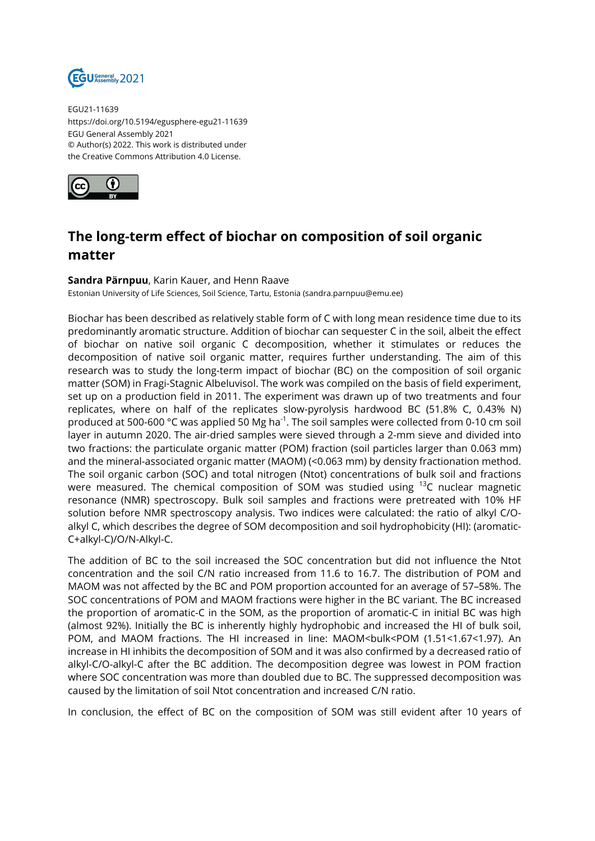

EGU21-11639 https://doi.org/10.5194/egusphere-egu21-11639 EGU General Assembly 2021 © Author(s) 2022. This work is distributed under the Creative Commons Attribution 4.0 License.



## **The long-term effect of biochar on composition of soil organic matter**

## **Sandra Pärnpuu**, Karin Kauer, and Henn Raave

Estonian University of Life Sciences, Soil Science, Tartu, Estonia (sandra.parnpuu@emu.ee)

Biochar has been described as relatively stable form of C with long mean residence time due to its predominantly aromatic structure. Addition of biochar can sequester C in the soil, albeit the effect of biochar on native soil organic C decomposition, whether it stimulates or reduces the decomposition of native soil organic matter, requires further understanding. The aim of this research was to study the long-term impact of biochar (BC) on the composition of soil organic matter (SOM) in Fragi-Stagnic Albeluvisol. The work was compiled on the basis of field experiment, set up on a production field in 2011. The experiment was drawn up of two treatments and four replicates, where on half of the replicates slow-pyrolysis hardwood BC (51.8% C, 0.43% N) produced at 500-600 °C was applied 50 Mg ha<sup>-1</sup>. The soil samples were collected from 0-10 cm soil layer in autumn 2020. The air-dried samples were sieved through a 2-mm sieve and divided into two fractions: the particulate organic matter (POM) fraction (soil particles larger than 0.063 mm) and the mineral-associated organic matter (MAOM) (<0.063 mm) by density fractionation method. The soil organic carbon (SOC) and total nitrogen (Ntot) concentrations of bulk soil and fractions were measured. The chemical composition of SOM was studied using <sup>13</sup>C nuclear magnetic resonance (NMR) spectroscopy. Bulk soil samples and fractions were pretreated with 10% HF solution before NMR spectroscopy analysis. Two indices were calculated: the ratio of alkyl C/Oalkyl C, which describes the degree of SOM decomposition and soil hydrophobicity (HI): (aromatic-C+alkyl-C)/O/N-Alkyl-C.

The addition of BC to the soil increased the SOC concentration but did not influence the Ntot concentration and the soil C/N ratio increased from 11.6 to 16.7. The distribution of POM and MAOM was not affected by the BC and POM proportion accounted for an average of 57–58%. The SOC concentrations of POM and MAOM fractions were higher in the BC variant. The BC increased the proportion of aromatic-C in the SOM, as the proportion of aromatic-C in initial BC was high (almost 92%). Initially the BC is inherently highly hydrophobic and increased the HI of bulk soil, POM, and MAOM fractions. The HI increased in line: MAOM<br/>sbulk<POM (1.51<1.67<1.97). An increase in HI inhibits the decomposition of SOM and it was also confirmed by a decreased ratio of alkyl-C/O-alkyl-C after the BC addition. The decomposition degree was lowest in POM fraction where SOC concentration was more than doubled due to BC. The suppressed decomposition was caused by the limitation of soil Ntot concentration and increased C/N ratio.

In conclusion, the effect of BC on the composition of SOM was still evident after 10 years of